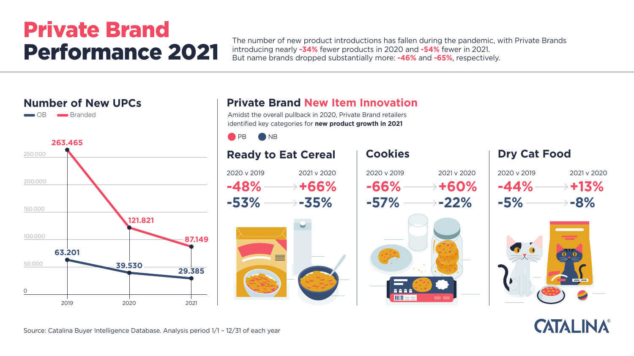







The number of new product introductions has fallen during the pandemic, with Private Brands introducing nearly **-34%** fewer products in 2020 and **-54%** fewer in 2021. But name brands dropped substantially more: **-46%** and **-65%**, respectively.

# Private Brand Performance 2021

Source: Catalina Buyer Intelligence Database. Analysis period 1/1 – 12/31 of each year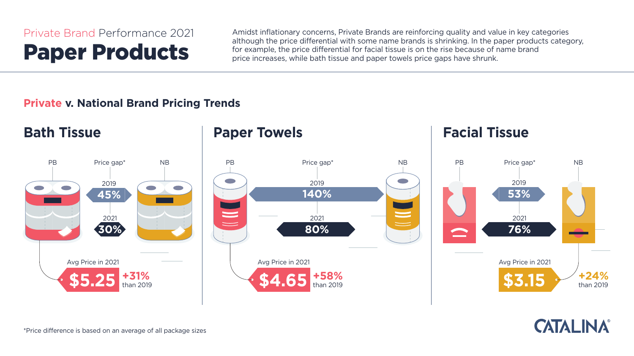#### **Private v. National Brand Pricing Trends**

Amidst inflationary concerns, Private Brands are reinforcing quality and value in key categories although the price differential with some name brands is shrinking. In the paper products category, for example, the price differential for facial tissue is on the rise because of name brand price increases, while bath tissue and paper towels price gaps have shrunk.



## Private Brand Performance 2021 Paper Products

\*Price difference is based on an average of all package sizes